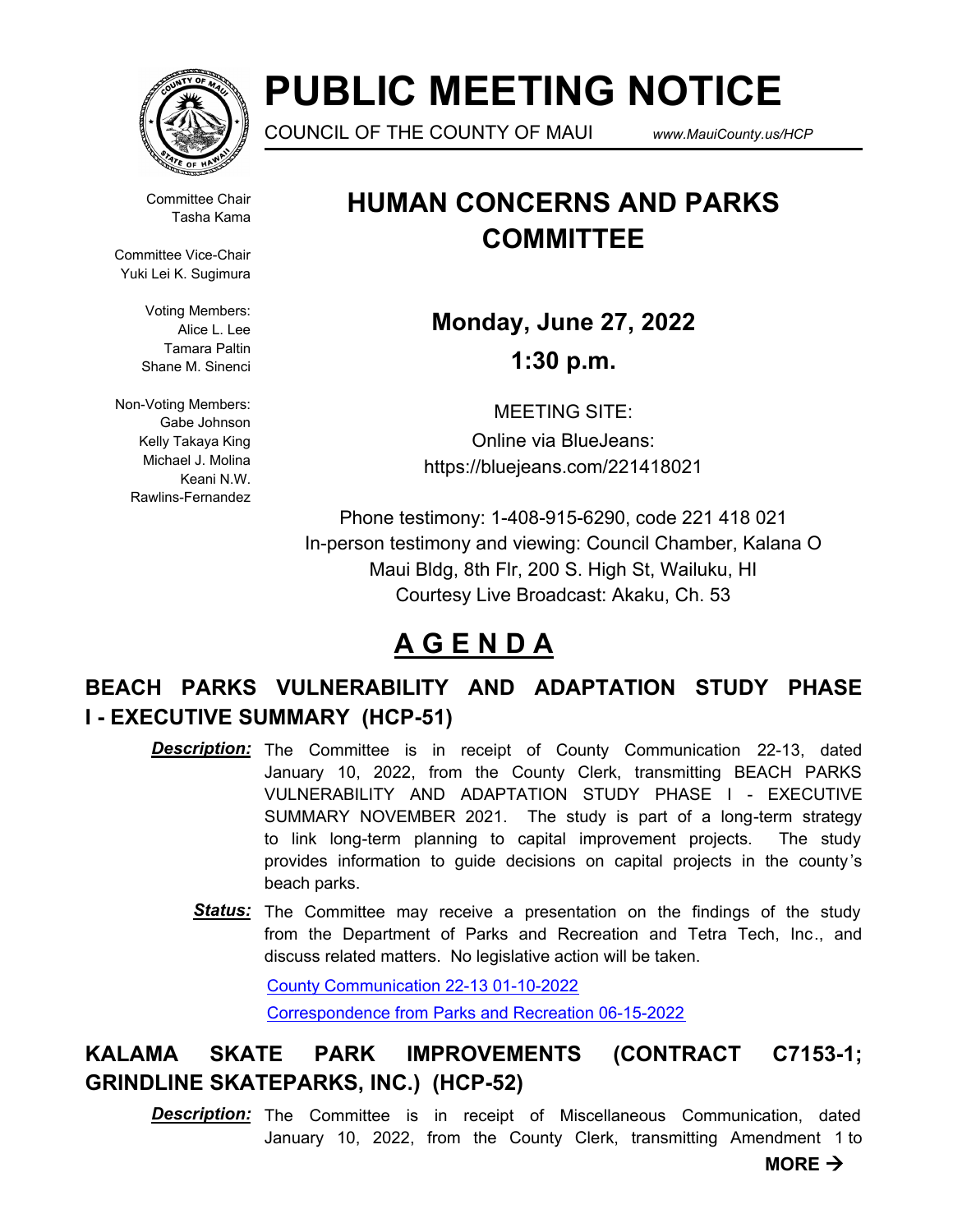

# **PUBLIC MEETING NOTICE**

COUNCIL OF THE COUNTY OF MAUI *www.MauiCounty.us/HCP*

Committee Chair Tasha Kama

Committee Vice-Chair Yuki Lei K. Sugimura

> Voting Members: Alice L. Lee Tamara Paltin Shane M. Sinenci

Non-Voting Members: Gabe Johnson Kelly Takaya King Michael J. Molina Keani N.W. Rawlins-Fernandez

### **HUMAN CONCERNS AND PARKS COMMITTEE**

**Monday, June 27, 2022 1:30 p.m.**

MEETING SITE: Online via BlueJeans: https://bluejeans.com/221418021

Phone testimony: 1-408-915-6290, code 221 418 021 In-person testimony and viewing: Council Chamber, Kalana O Maui Bldg, 8th Flr, 200 S. High St, Wailuku, HI Courtesy Live Broadcast: Akaku, Ch. 53

## **A G E N D A**

### **BEACH PARKS VULNERABILITY AND ADAPTATION STUDY PHASE I - EXECUTIVE SUMMARY (HCP-51)**

- **Description:** The Committee is in receipt of County Communication 22-13, dated January 10, 2022, from the County Clerk, transmitting BEACH PARKS VULNERABILITY AND ADAPTATION STUDY PHASE I - EXECUTIVE SUMMARY NOVEMBER 2021. The study is part of a long-term strategy to link long-term planning to capital improvement projects. The study provides information to guide decisions on capital projects in the county 's beach parks.
	- Status: The Committee may receive a presentation on the findings of the study from the Department of Parks and Recreation and Tetra Tech, Inc., and discuss related matters. No legislative action will be taken.

[County Communication 22-13 01-10-2022](http://mauicounty.legistar.com/gateway.aspx?M=F&ID=b686fa60-913d-487c-b792-49316da90963.pdf) [Correspondence from Parks and Recreation 06-15-2022](http://mauicounty.legistar.com/gateway.aspx?M=F&ID=ebe29040-df13-4c6d-b173-b20759276fe5.pdf)

### **KALAMA SKATE PARK IMPROVEMENTS (CONTRACT C7153-1; GRINDLINE SKATEPARKS, INC.) (HCP-52)**

**Description:** The Committee is in receipt of Miscellaneous Communication, dated January 10, 2022, from the County Clerk, transmitting Amendment 1 to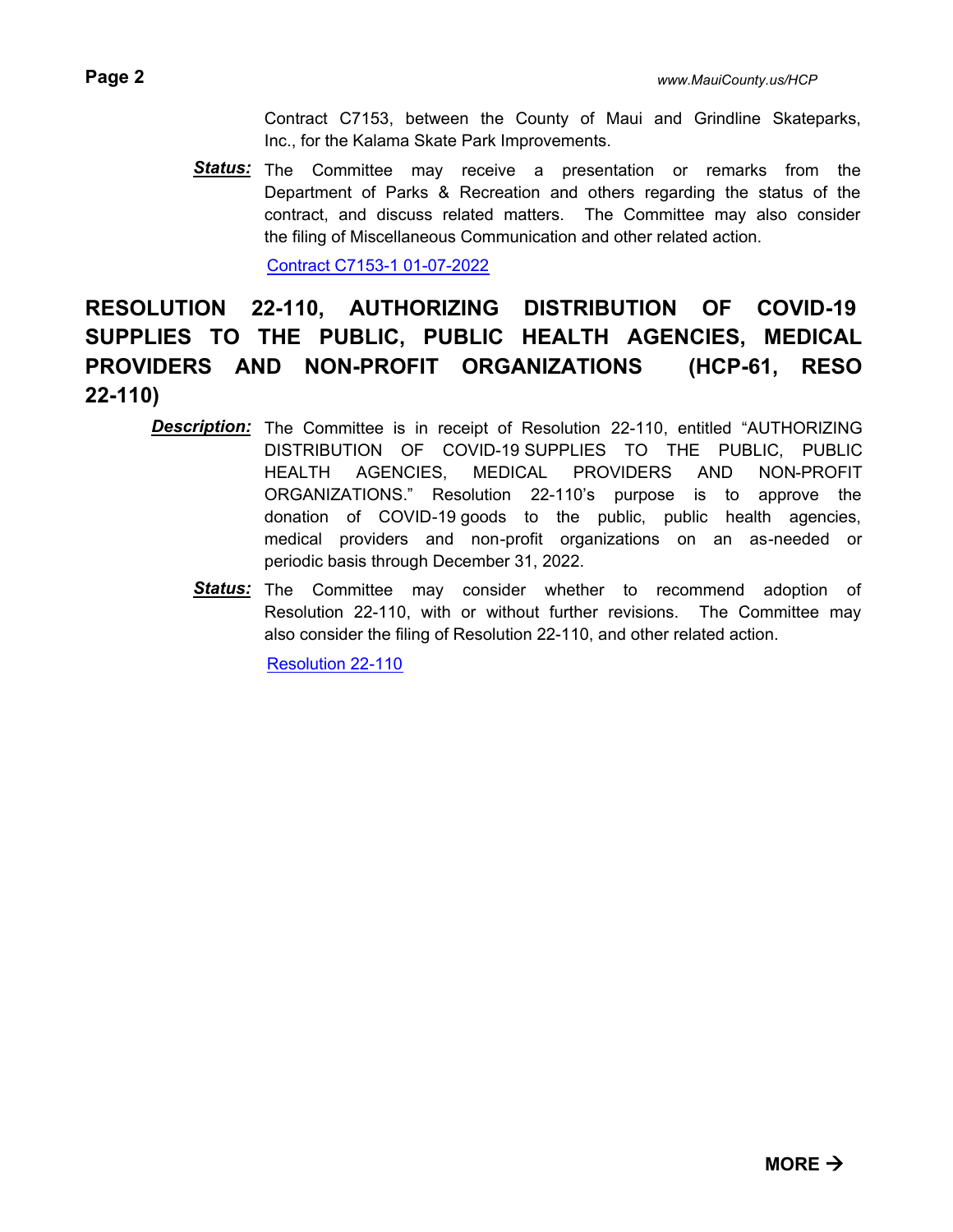Contract C7153, between the County of Maui and Grindline Skateparks, Inc., for the Kalama Skate Park Improvements.

Status: The Committee may receive a presentation or remarks from the Department of Parks & Recreation and others regarding the status of the contract, and discuss related matters. The Committee may also consider the filing of Miscellaneous Communication and other related action.

[Contract C7153-1 01-07-2022](http://mauicounty.legistar.com/gateway.aspx?M=F&ID=1b412544-e0c2-423d-9fb3-056259514390.pdf)

### **RESOLUTION 22-110, AUTHORIZING DISTRIBUTION OF COVID-19 SUPPLIES TO THE PUBLIC, PUBLIC HEALTH AGENCIES, MEDICAL PROVIDERS AND NON-PROFIT ORGANIZATIONS (HCP-61, RESO 22-110)**

- **Description:** The Committee is in receipt of Resolution 22-110, entitled "AUTHORIZING DISTRIBUTION OF COVID-19 SUPPLIES TO THE PUBLIC, PUBLIC HEALTH AGENCIES, MEDICAL PROVIDERS AND NON-PROFIT ORGANIZATIONS." Resolution 22-110's purpose is to approve the donation of COVID-19 goods to the public, public health agencies, medical providers and non-profit organizations on an as-needed or periodic basis through December 31, 2022.
	- Status: The Committee may consider whether to recommend adoption of Resolution 22-110, with or without further revisions. The Committee may also consider the filing of Resolution 22-110, and other related action.

[Resolution 22-110](http://mauicounty.legistar.com/gateway.aspx?M=F&ID=aceaac8f-24cd-4ca2-a81d-fec10f578f5a.pdf)